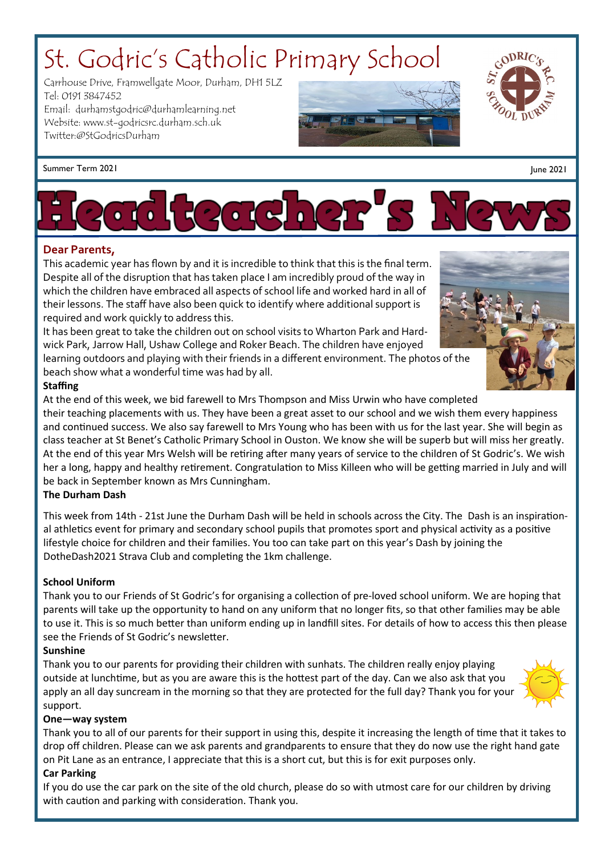# St. Godric's Catholic Primary School

Carrhouse Drive, Framwellgate Moor, Durham, DH1 5LZ Tel: 0191 3847452 Email: durhamstgodric@durhamlearning.net Website: www.st-godricsrc.durham.sch.uk Twitter:@StGodricsDurham

# Summer Term 2021 and 2021 and 2021 and 2021 and 2021 and 2021 and 2021 and 2021 and 2021 and 2021 and 2021 and 2021 and 2021 and 2021 and 2021 and 2021 and 2021 and 2021 and 2021 and 2021 and 2021 and 2021 and 2021 and 202







## **Dear Parents,**

This academic year has flown by and it is incredible to think that this is the final term. Despite all of the disruption that has taken place I am incredibly proud of the way in which the children have embraced all aspects of school life and worked hard in all of their lessons. The staff have also been quick to identify where additional support is required and work quickly to address this.

It has been great to take the children out on school visits to Wharton Park and Hardwick Park, Jarrow Hall, Ushaw College and Roker Beach. The children have enjoyed

learning outdoors and playing with their friends in a different environment. The photos of the beach show what a wonderful time was had by all.



At the end of this week, we bid farewell to Mrs Thompson and Miss Urwin who have completed their teaching placements with us. They have been a great asset to our school and we wish them every happiness and continued success. We also say farewell to Mrs Young who has been with us for the last year. She will begin as class teacher at St Benet's Catholic Primary School in Ouston. We know she will be superb but will miss her greatly. At the end of this year Mrs Welsh will be retiring after many years of service to the children of St Godric's. We wish her a long, happy and healthy retirement. Congratulation to Miss Killeen who will be getting married in July and will be back in September known as Mrs Cunningham.

## **The Durham Dash**

This week from 14th - 21st June the Durham Dash will be held in schools across the City. The Dash is an inspirational athletics event for primary and secondary school pupils that promotes sport and physical activity as a positive lifestyle choice for children and their families. You too can take part on this year's Dash by joining the DotheDash2021 Strava Club and completing the 1km challenge.

## **School Uniform**

Thank you to our Friends of St Godric's for organising a collection of pre-loved school uniform. We are hoping that parents will take up the opportunity to hand on any uniform that no longer fits, so that other families may be able to use it. This is so much better than uniform ending up in landfill sites. For details of how to access this then please see the Friends of St Godric's newsletter.

## **Sunshine**

Thank you to our parents for providing their children with sunhats. The children really enjoy playing outside at lunchtime, but as you are aware this is the hottest part of the day. Can we also ask that you apply an all day suncream in the morning so that they are protected for the full day? Thank you for your support.



## **One—way system**

Thank you to all of our parents for their support in using this, despite it increasing the length of time that it takes to drop off children. Please can we ask parents and grandparents to ensure that they do now use the right hand gate on Pit Lane as an entrance, I appreciate that this is a short cut, but this is for exit purposes only.

## **Car Parking**

If you do use the car park on the site of the old church, please do so with utmost care for our children by driving with caution and parking with consideration. Thank you.